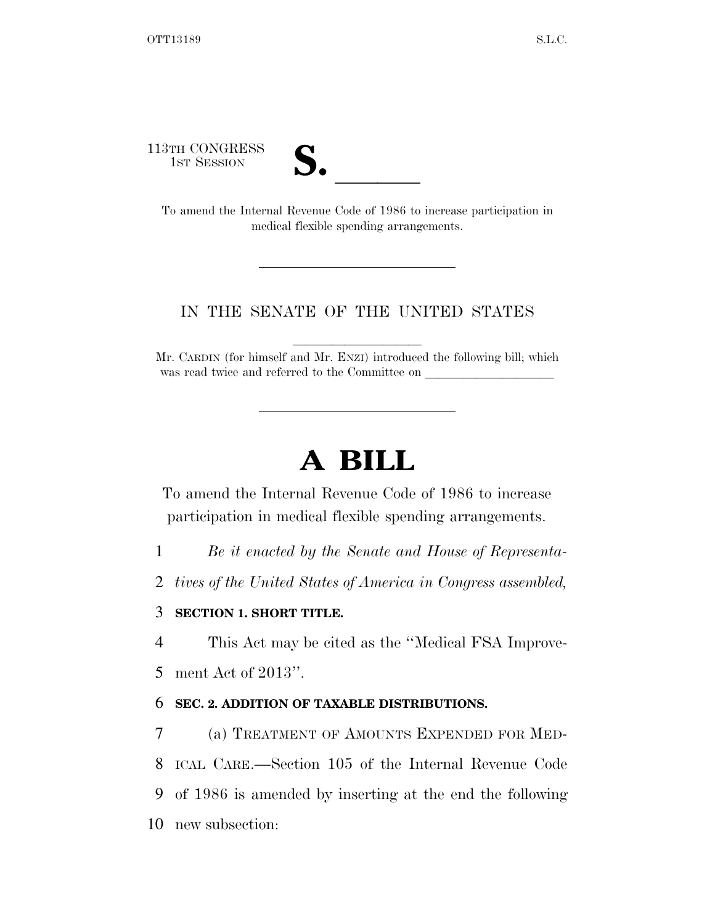113TH CONGRESS



3TH CONGRESS<br>
1ST SESSION<br>
To amend the Internal Revenue Code of 1986 to increase participation in medical flexible spending arrangements.

## IN THE SENATE OF THE UNITED STATES

Mr. CARDIN (for himself and Mr. ENZI) introduced the following bill; which was read twice and referred to the Committee on

## **A BILL**

To amend the Internal Revenue Code of 1986 to increase participation in medical flexible spending arrangements.

- 1 *Be it enacted by the Senate and House of Representa-*
- 2 *tives of the United States of America in Congress assembled,*

## 3 **SECTION 1. SHORT TITLE.**

4 This Act may be cited as the ''Medical FSA Improve-

5 ment Act of 2013''.

## 6 **SEC. 2. ADDITION OF TAXABLE DISTRIBUTIONS.**

7 (a) TREATMENT OF AMOUNTS EXPENDED FOR MED-

8 ICAL CARE.—Section 105 of the Internal Revenue Code

9 of 1986 is amended by inserting at the end the following

10 new subsection: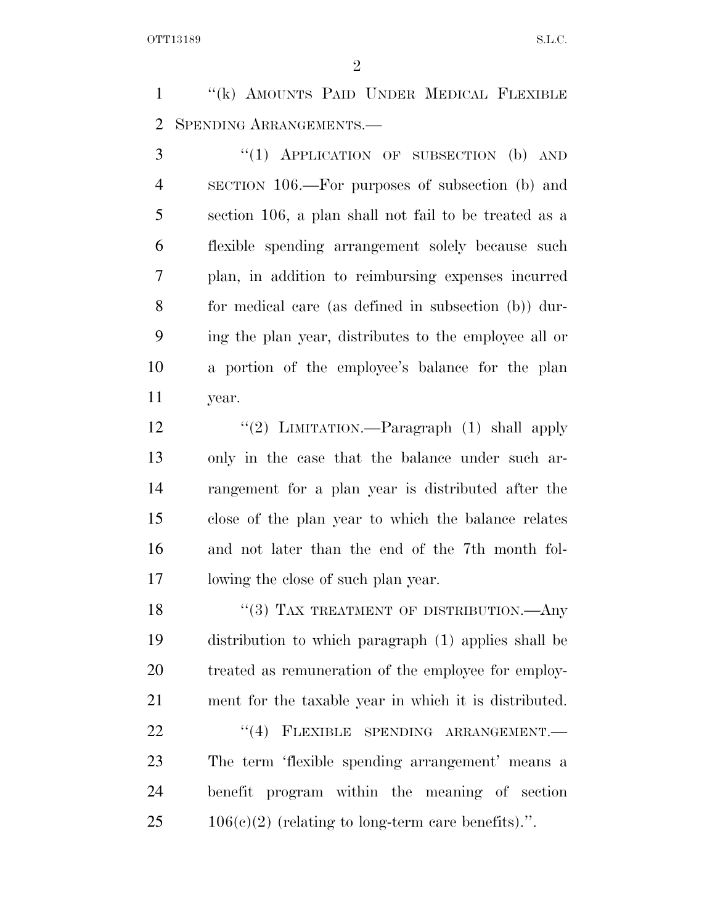''(k) AMOUNTS PAID UNDER MEDICAL FLEXIBLE SPENDING ARRANGEMENTS.—

3 "(1) APPLICATION OF SUBSECTION (b) AND SECTION 106.—For purposes of subsection (b) and section 106, a plan shall not fail to be treated as a flexible spending arrangement solely because such plan, in addition to reimbursing expenses incurred for medical care (as defined in subsection (b)) dur- ing the plan year, distributes to the employee all or a portion of the employee's balance for the plan year.

12 "(2) LIMITATION.—Paragraph (1) shall apply only in the case that the balance under such ar- rangement for a plan year is distributed after the close of the plan year to which the balance relates and not later than the end of the 7th month fol-lowing the close of such plan year.

18 "(3) TAX TREATMENT OF DISTRIBUTION.—Any distribution to which paragraph (1) applies shall be 20 treated as remuneration of the employee for employ-ment for the taxable year in which it is distributed.

22 "(4) FLEXIBLE SPENDING ARRANGEMENT. The term 'flexible spending arrangement' means a benefit program within the meaning of section  $25 \qquad 106(c)(2)$  (relating to long-term care benefits).".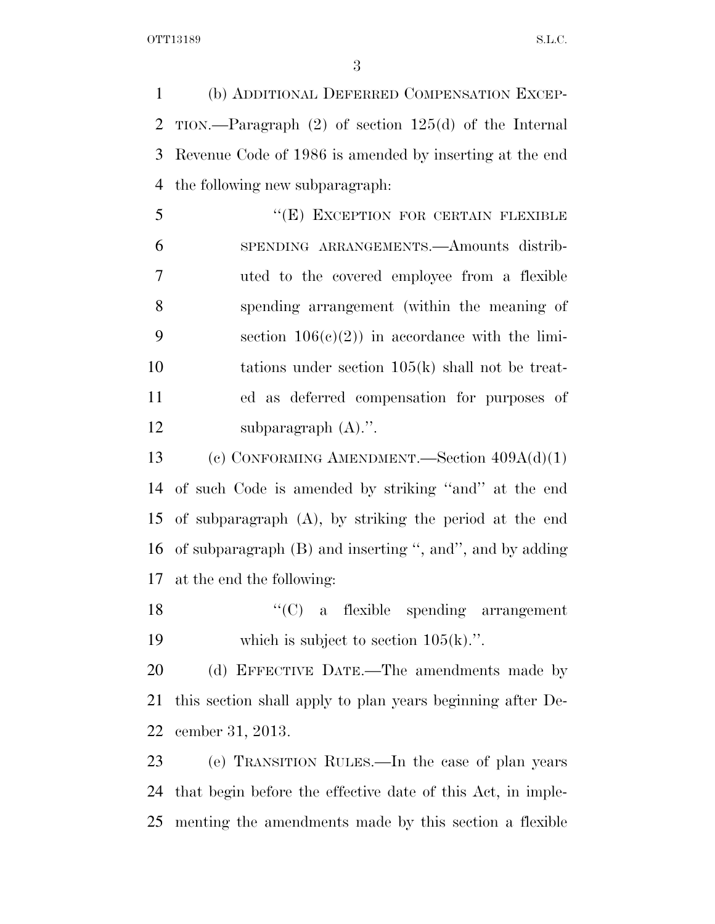(b) ADDITIONAL DEFERRED COMPENSATION EXCEP- TION.—Paragraph (2) of section 125(d) of the Internal Revenue Code of 1986 is amended by inserting at the end the following new subparagraph:

5 "(E) EXCEPTION FOR CERTAIN FLEXIBLE SPENDING ARRANGEMENTS.—Amounts distrib- uted to the covered employee from a flexible spending arrangement (within the meaning of 9 section  $106(e)(2)$  in accordance with the limi- tations under section 105(k) shall not be treat- ed as deferred compensation for purposes of 12 subparagraph  $(A)$ .".

 (c) CONFORMING AMENDMENT.—Section 409A(d)(1) of such Code is amended by striking ''and'' at the end of subparagraph (A), by striking the period at the end of subparagraph (B) and inserting '', and'', and by adding at the end the following:

18 ''(C) a flexible spending arrangement 19 which is subject to section  $105(k)$ .".

20 (d) EFFECTIVE DATE.—The amendments made by this section shall apply to plan years beginning after De-cember 31, 2013.

 (e) TRANSITION RULES.—In the case of plan years that begin before the effective date of this Act, in imple-menting the amendments made by this section a flexible